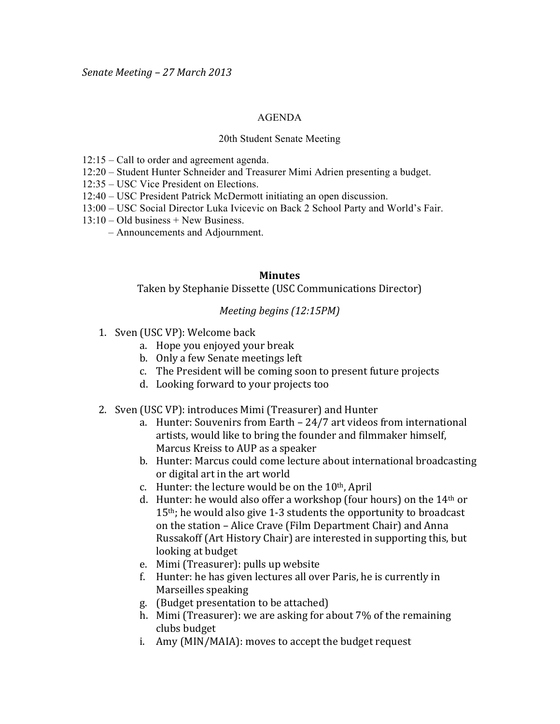## AGENDA

## 20th Student Senate Meeting

- 12:15 Call to order and agreement agenda.
- 12:20 Student Hunter Schneider and Treasurer Mimi Adrien presenting a budget.
- 12:35 USC Vice President on Elections.
- 12:40 USC President Patrick McDermott initiating an open discussion.
- 13:00 USC Social Director Luka Ivicevic on Back 2 School Party and World's Fair.
- 13:10 Old business + New Business.
	- Announcements and Adjournment.

## **Minutes**

Taken by Stephanie Dissette (USC Communications Director)

## *Meeting begins (12:15PM)*

- 1. Sven (USC VP): Welcome back
	- a. Hope you enjoyed your break
	- b. Only a few Senate meetings left
	- c. The President will be coming soon to present future projects
	- d. Looking forward to your projects too
- 2. Sven (USC VP): introduces Mimi (Treasurer) and Hunter
	- a. Hunter: Souvenirs from Earth  $24/7$  art videos from international artists, would like to bring the founder and filmmaker himself, Marcus Kreiss to AUP as a speaker
	- b. Hunter: Marcus could come lecture about international broadcasting or digital art in the art world
	- c. Hunter: the lecture would be on the  $10<sup>th</sup>$ , April
	- d. Hunter: he would also offer a workshop (four hours) on the  $14<sup>th</sup>$  or  $15<sup>th</sup>$ ; he would also give 1-3 students the opportunity to broadcast on the station – Alice Crave (Film Department Chair) and Anna Russakoff (Art History Chair) are interested in supporting this, but looking at budget
	- e. Mimi (Treasurer): pulls up website
	- f. Hunter: he has given lectures all over Paris, he is currently in Marseilles speaking
	- g. (Budget presentation to be attached)
	- h. Mimi (Treasurer): we are asking for about  $7\%$  of the remaining clubs budget
	- i. Amy (MIN/MAIA): moves to accept the budget request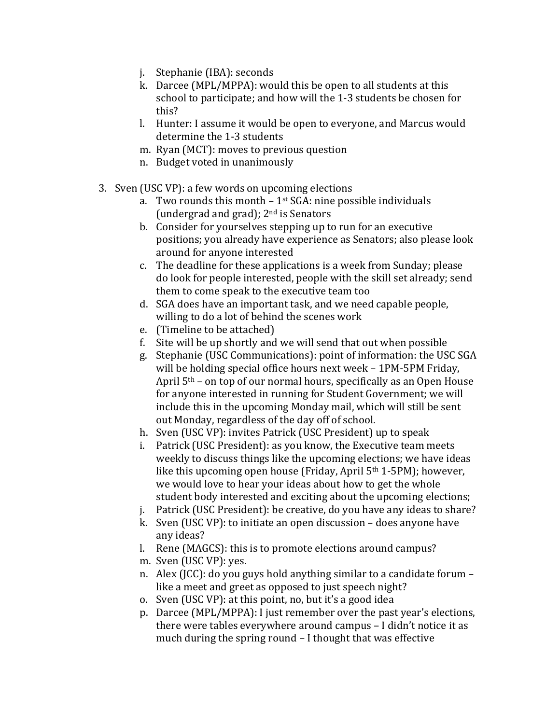- j. Stephanie (IBA): seconds
- k. Darcee (MPL/MPPA): would this be open to all students at this school to participate; and how will the 1-3 students be chosen for this?
- l. Hunter: I assume it would be open to everyone, and Marcus would determine the 1-3 students
- m. Ryan (MCT): moves to previous question
- n. Budget voted in unanimously
- 3. Sven (USC VP): a few words on upcoming elections
	- a. Two rounds this month  $1<sup>st</sup> SGA$ : nine possible individuals (undergrad and grad);  $2<sup>nd</sup>$  is Senators
	- b. Consider for yourselves stepping up to run for an executive positions; you already have experience as Senators; also please look around for anyone interested
	- c. The deadline for these applications is a week from Sunday; please do look for people interested, people with the skill set already; send them to come speak to the executive team too
	- d. SGA does have an important task, and we need capable people, willing to do a lot of behind the scenes work
	- e. (Timeline to be attached)
	- f. Site will be up shortly and we will send that out when possible
	- g. Stephanie (USC Communications): point of information: the USC SGA will be holding special office hours next week – 1PM-5PM Friday, April  $5<sup>th</sup>$  – on top of our normal hours, specifically as an Open House for anyone interested in running for Student Government; we will include this in the upcoming Monday mail, which will still be sent out Monday, regardless of the day off of school.
	- h. Sven (USC VP): invites Patrick (USC President) up to speak
	- i. Patrick (USC President): as you know, the Executive team meets weekly to discuss things like the upcoming elections; we have ideas like this upcoming open house (Friday, April  $5<sup>th</sup> 1-5PM$ ); however, we would love to hear your ideas about how to get the whole student body interested and exciting about the upcoming elections;
	- j. Patrick (USC President): be creative, do you have any ideas to share?
	- k. Sven (USC VP): to initiate an open discussion does anyone have any ideas?
	- l. Rene (MAGCS): this is to promote elections around campus?
	- m. Sven (USC VP): yes.
	- n. Alex (JCC): do you guys hold anything similar to a candidate forum like a meet and greet as opposed to just speech night?
	- o. Sven (USC VP): at this point, no, but it's a good idea
	- p. Darcee (MPL/MPPA): I just remember over the past year's elections, there were tables everywhere around campus – I didn't notice it as much during the spring round  $-$  I thought that was effective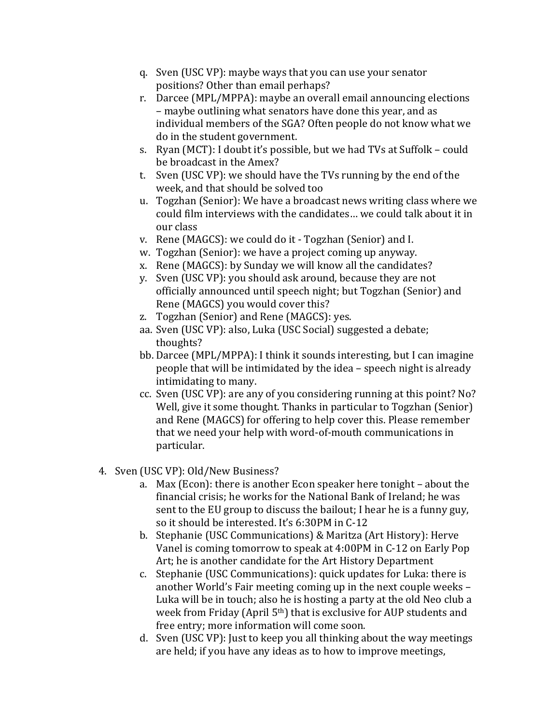- q. Sven (USC VP): maybe ways that you can use your senator positions? Other than email perhaps?
- r. Darcee (MPL/MPPA): maybe an overall email announcing elections – maybe outlining what senators have done this year, and as individual members of the SGA? Often people do not know what we do in the student government.
- s. Ryan (MCT): I doubt it's possible, but we had TVs at Suffolk could be broadcast in the Amex?
- t. Sven (USC VP): we should have the TVs running by the end of the week, and that should be solved too
- u. Togzhan (Senior): We have a broadcast news writing class where we could film interviews with the candidates... we could talk about it in our class
- v. Rene (MAGCS): we could do it Togzhan (Senior) and I.
- w. Togzhan (Senior): we have a project coming up anyway.
- x. Rene (MAGCS): by Sunday we will know all the candidates?
- y. Sven (USC VP): you should ask around, because they are not officially announced until speech night; but Togzhan (Senior) and Rene (MAGCS) you would cover this?
- z. Togzhan (Senior) and Rene (MAGCS): yes.
- aa. Sven (USC VP): also, Luka (USC Social) suggested a debate; thoughts?
- bb. Darcee (MPL/MPPA): I think it sounds interesting, but I can imagine people that will be intimidated by the idea – speech night is already intimidating to many.
- cc. Sven (USC VP): are any of you considering running at this point? No? Well, give it some thought. Thanks in particular to Togzhan (Senior). and Rene (MAGCS) for offering to help cover this. Please remember that we need your help with word-of-mouth communications in particular.
- 4. Sven (USC VP): Old/New Business?
	- a. Max (Econ): there is another Econ speaker here tonight about the financial crisis; he works for the National Bank of Ireland; he was sent to the EU group to discuss the bailout; I hear he is a funny guy, so it should be interested. It's 6:30PM in C-12
	- b. Stephanie (USC Communications) & Maritza (Art History): Herve Vanel is coming tomorrow to speak at 4:00PM in C-12 on Early Pop Art; he is another candidate for the Art History Department
	- c. Stephanie (USC Communications): quick updates for Luka: there is another World's Fair meeting coming up in the next couple weeks – Luka will be in touch; also he is hosting a party at the old Neo club a week from Friday (April  $5<sup>th</sup>$ ) that is exclusive for AUP students and free entry; more information will come soon.
	- d. Sven (USC VP): Just to keep you all thinking about the way meetings are held; if you have any ideas as to how to improve meetings,